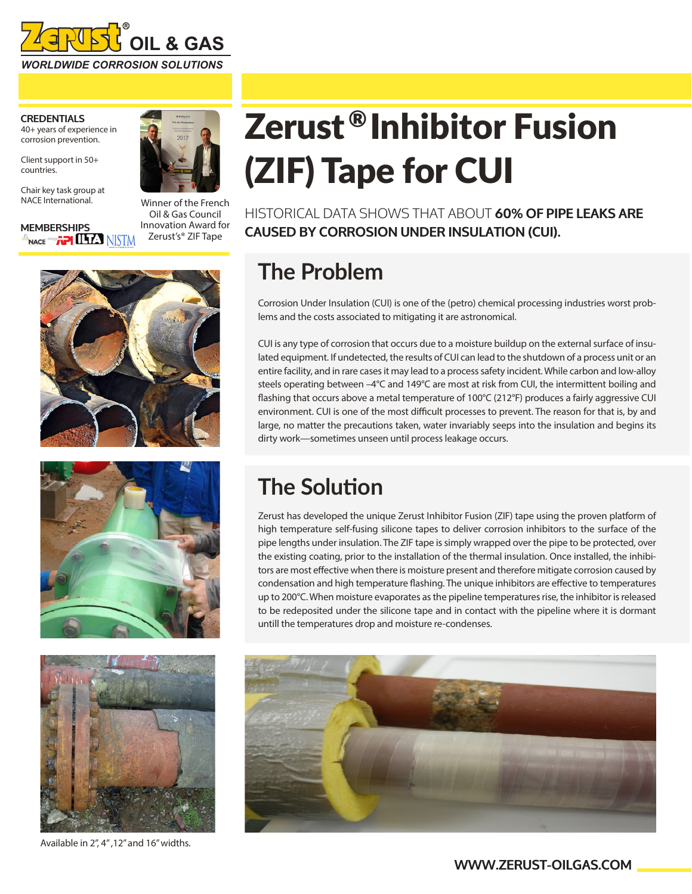

#### **CREDENTIALS** 40+ years of experience in corrosion prevention.

Client support in 50+ countries.

Chair key task group at NACE International.

**MEMBERSHIPS**<br><sup>**G<sub>NACE</sub> <sup>@@</sup>#? LHA** NISTM</sup>



Winner of the French Oil & Gas Council Innovation Award for Zerust's® ZIF Tape







Available in 2", 4" ,12" and 16" widths.

# Zerust<sup>®</sup>Inhibitor Fusion (ZIF) Tape for CUI

HISTORICAL DATA SHOWS THAT ABOUT **60% OF PIPE LEAKS ARE CAUSED BY CORROSION UNDER INSULATION (CUI).**

## **The Problem**

Corrosion Under Insulation (CUI) is one of the (petro) chemical processing industries worst problems and the costs associated to mitigating it are astronomical.

CUI is any type of corrosion that occurs due to a moisture buildup on the external surface of insulated equipment. If undetected, the results of CUI can lead to the shutdown of a process unit or an entire facility, and in rare cases it may lead to a process safety incident. While carbon and low-alloy steels operating between –4°C and 149°C are most at risk from CUI, the intermittent boiling and flashing that occurs above a metal temperature of 100°C (212°F) produces a fairly aggressive CUI environment. CUI is one of the most difficult processes to prevent. The reason for that is, by and large, no matter the precautions taken, water invariably seeps into the insulation and begins its dirty work—sometimes unseen until process leakage occurs.

### **The Solution**

Zerust has developed the unique Zerust Inhibitor Fusion (ZIF) tape using the proven platform of high temperature self-fusing silicone tapes to deliver corrosion inhibitors to the surface of the pipe lengths under insulation. The ZIF tape is simply wrapped over the pipe to be protected, over the existing coating, prior to the installation of the thermal insulation. Once installed, the inhibitors are most effective when there is moisture present and therefore mitigate corrosion caused by condensation and high temperature flashing. The unique inhibitors are effective to temperatures up to 200°C. When moisture evaporates as the pipeline temperatures rise, the inhibitor is released to be redeposited under the silicone tape and in contact with the pipeline where it is dormant untill the temperatures drop and moisture re-condenses.



### **WWW.ZERUST-OILGAS.COM**